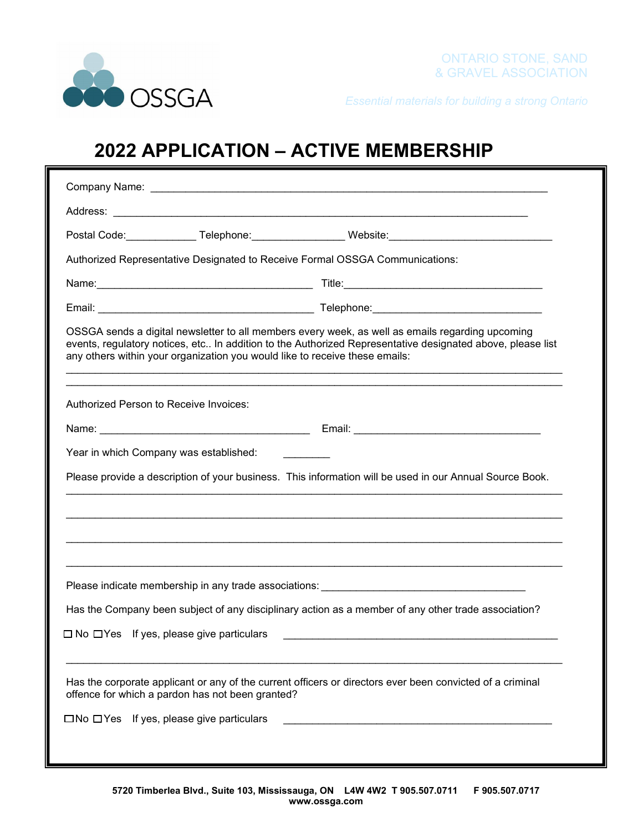

*Essential materials for building a strong Ontario*

## **2022 APPLICATION – ACTIVE MEMBERSHIP**

|                                                                             | Postal Code:_______________ Telephone:___________________ Website:_________________________________                                                                                                            |
|-----------------------------------------------------------------------------|----------------------------------------------------------------------------------------------------------------------------------------------------------------------------------------------------------------|
|                                                                             | Authorized Representative Designated to Receive Formal OSSGA Communications:                                                                                                                                   |
|                                                                             |                                                                                                                                                                                                                |
|                                                                             |                                                                                                                                                                                                                |
| any others within your organization you would like to receive these emails: | OSSGA sends a digital newsletter to all members every week, as well as emails regarding upcoming<br>events, regulatory notices, etc In addition to the Authorized Representative designated above, please list |
| Authorized Person to Receive Invoices:                                      |                                                                                                                                                                                                                |
|                                                                             |                                                                                                                                                                                                                |
|                                                                             |                                                                                                                                                                                                                |
| Year in which Company was established: _________                            |                                                                                                                                                                                                                |
|                                                                             | Please provide a description of your business. This information will be used in our Annual Source Book.                                                                                                        |
|                                                                             | Please indicate membership in any trade associations: ___________________________                                                                                                                              |
|                                                                             | Has the Company been subject of any disciplinary action as a member of any other trade association?                                                                                                            |
| $\square$ No $\square$ Yes If yes, please give particulars                  |                                                                                                                                                                                                                |
| offence for which a pardon has not been granted?                            | Has the corporate applicant or any of the current officers or directors ever been convicted of a criminal                                                                                                      |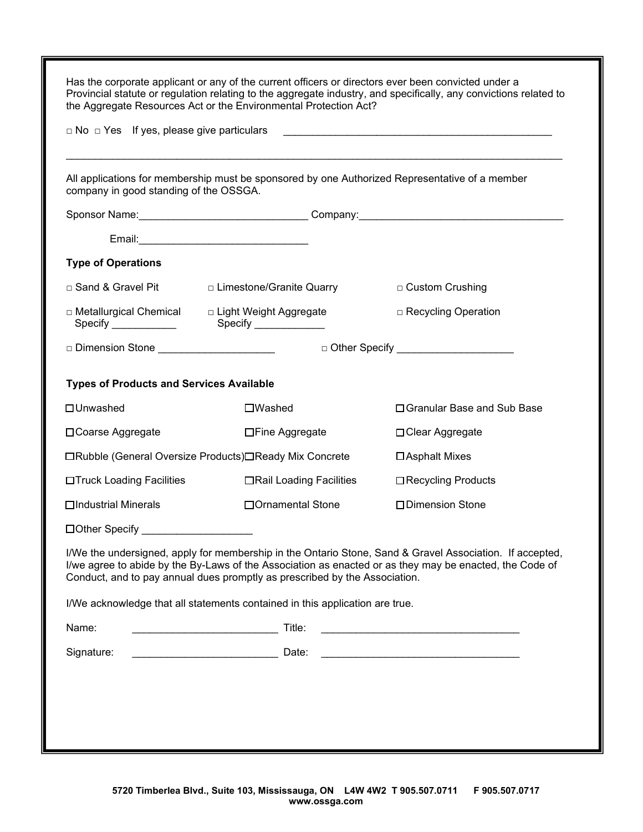| $\Box$ No $\Box$ Yes If yes, please give particulars |                                                                                                | the Aggregate Resources Act or the Environmental Protection Act?                                                                                                                                                    |
|------------------------------------------------------|------------------------------------------------------------------------------------------------|---------------------------------------------------------------------------------------------------------------------------------------------------------------------------------------------------------------------|
| company in good standing of the OSSGA.               | All applications for membership must be sponsored by one Authorized Representative of a member |                                                                                                                                                                                                                     |
|                                                      |                                                                                                |                                                                                                                                                                                                                     |
|                                                      |                                                                                                |                                                                                                                                                                                                                     |
| <b>Type of Operations</b>                            |                                                                                                |                                                                                                                                                                                                                     |
| □ Sand & Gravel Pit                                  | □ Limestone/Granite Quarry                                                                     | □ Custom Crushing                                                                                                                                                                                                   |
|                                                      | □ Metallurgical Chemical  D Light Weight Aggregate                                             | □ Recycling Operation                                                                                                                                                                                               |
| □ Dimension Stone ________________________           |                                                                                                | □ Other Specify ________________________                                                                                                                                                                            |
| <b>Types of Products and Services Available</b>      |                                                                                                |                                                                                                                                                                                                                     |
| □ Unwashed                                           | $\square$ Washed                                                                               | □ Granular Base and Sub Base                                                                                                                                                                                        |
| □ Coarse Aggregate                                   | □Fine Aggregate                                                                                | □ Clear Aggregate                                                                                                                                                                                                   |
|                                                      | □Rubble (General Oversize Products)□Ready Mix Concrete                                         | □ Asphalt Mixes                                                                                                                                                                                                     |
| □Truck Loading Facilities                            | □Rail Loading Facilities                                                                       | □ Recycling Products                                                                                                                                                                                                |
| □Industrial Minerals                                 | □ Ornamental Stone                                                                             | □Dimension Stone                                                                                                                                                                                                    |
|                                                      |                                                                                                |                                                                                                                                                                                                                     |
|                                                      | Conduct, and to pay annual dues promptly as prescribed by the Association.                     | I/We the undersigned, apply for membership in the Ontario Stone, Sand & Gravel Association. If accepted,<br>I/we agree to abide by the By-Laws of the Association as enacted or as they may be enacted, the Code of |
|                                                      | I/We acknowledge that all statements contained in this application are true.                   |                                                                                                                                                                                                                     |
| Name:                                                |                                                                                                | <u> 1989 - Johann Barbara, martxa alemaniar a</u>                                                                                                                                                                   |
| Signature:                                           | Date:                                                                                          |                                                                                                                                                                                                                     |